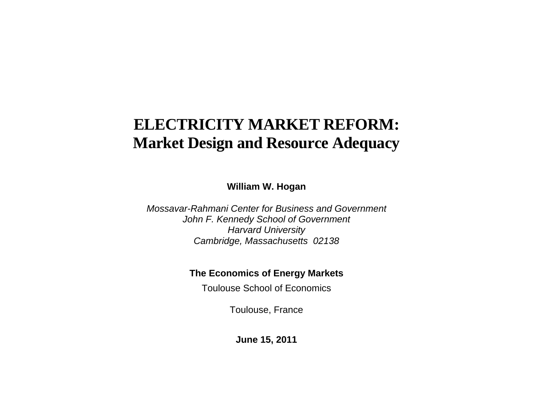# **ELECTRICITY MARKET REFORM: Market Design and Resource Adequacy**

**William W. Hogan** 

*Mossavar-Rahmani Center for Business and Government John F. Kennedy School of Government Harvard University Cambridge, Massachusetts 02138* 

### **The Economics of Energy Markets**

Toulouse School of Economics

Toulouse, France

**June 15, 2011**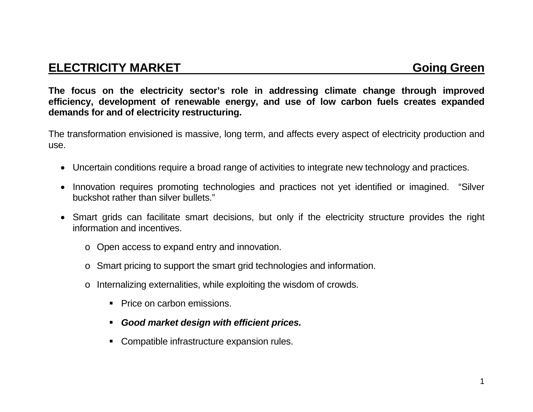# **ELECTRICITY MARKET GOING GREEN**

**The focus on the electricity sector's role in addressing climate change through improved efficiency, development of renewable energy, and use of low carbon fuels creates expanded demands for and of electricity restructuring.** 

The transformation envisioned is massive, long term, and affects every aspect of electricity production and use.

- Uncertain conditions require a broad range of activities to integrate new technology and practices.
- Innovation requires promoting technologies and practices not yet identified or imagined. "Silver buckshot rather than silver bullets."
- Smart grids can facilitate smart decisions, but only if the electricity structure provides the right information and incentives.
	- <sup>o</sup> Open access to expand entry and innovation.
	- <sup>o</sup> Smart pricing to support the smart grid technologies and information.
	- <sup>o</sup> Internalizing externalities, while exploiting the wisdom of crowds.
		- Price on carbon emissions.
		- *Good market design with efficient prices.*
		- Compatible infrastructure expansion rules.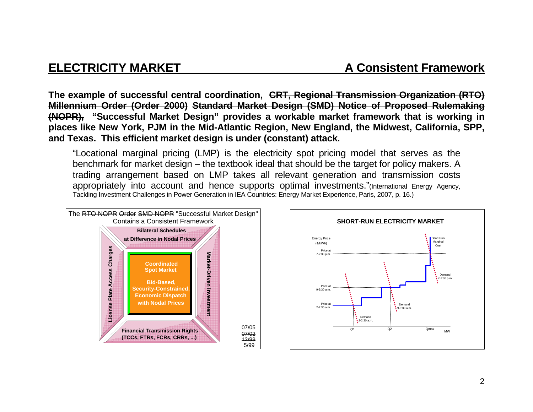**The example of successful central coordination, CRT, Regional Transmission Organization (RTO) Millennium Order (Order 2000) Standard Market Design (SMD) Notice of Proposed Rulemaking (NOPR), "Successful Market Design" provides a workable market framework that is working in places like New York, PJM in the Mid-Atlantic Region, New England, the Midwest, California, SPP, and Texas. This efficient market design is under (constant) attack.**

"Locational marginal pricing (LMP) is the electricity spot pricing model that serves as the benchmark for market design – the textbook ideal that should be the target for policy makers. A trading arrangement based on LMP takes all relevant generation and transmission costs appropriately into account and hence supports optimal investments."(International Energy Agency, Tackling Investment Challenges in Power Generation in IEA Countries: Energy Market Experience, Paris, 2007, p. 16.)



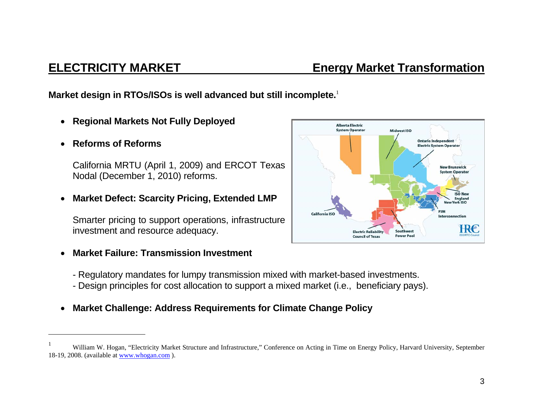### 3

**ELECTRICITY MARKET Energy Market Transformation** 

**Market design in RTOs/ISOs is well advanced but still incomplete.**<sup>1</sup>

- $\bullet$ **Regional Markets Not Fully Deployed**
- $\bullet$ **Reforms of Reforms**

California MRTU (April 1, 2009) and ERCOT Texas Nodal (December 1, 2010) reforms.

 $\bullet$ **Market Defect: Scarcity Pricing, Extended LMP** 

Smarter pricing to support operations, infrastructure investment and resource adequacy.

- $\bullet$  **Market Failure: Transmission Investment** 
	- Regulatory mandates for lumpy transmission mixed with market-based investments.
	- Design principles for cost allocation to support a mixed market (i.e., beneficiary pays).
- $\bullet$ **Market Challenge: Address Requirements for Climate Change Policy**



William W. Hogan, "Electricity Market Structure and Infrastructure," Conference on Acting in Time on Energy Policy, Harvard University, September 18-19, 2008. (available at www.whogan.com ).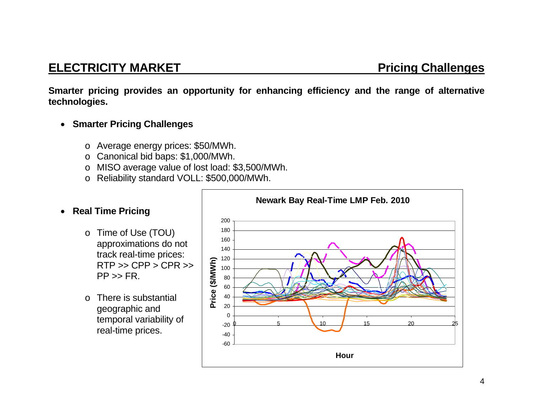# **ELECTRICITY MARKET Pricing Challenges**

**Smarter pricing provides an opportunity for enhancing efficiency and the range of alternative technologies.** 

- **Smarter Pricing Challenges** 
	- <sup>o</sup> Average energy prices: \$50/MWh.
	- <sup>o</sup> Canonical bid baps: \$1,000/MWh.
	- <sup>o</sup> MISO average value of lost load: \$3,500/MWh.
	- <sup>o</sup> Reliability standard VOLL: \$500,000/MWh.

### **Real Time Pricing**

- <sup>o</sup> Time of Use (TOU) approximations do not track real-time prices:  $RTP \gg CPP > CPR \gg$  $PP \gg FR$ .
- o There is substantial geographic and temporal variability of real-time prices.

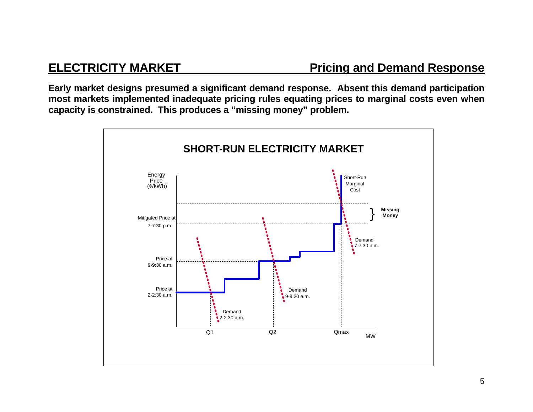**Early market designs presumed a significant demand response. Absent this demand participation most markets implemented inadequate pricing rules equating prices to marginal costs even when capacity is constrained. This produces a "missing money" problem.** 

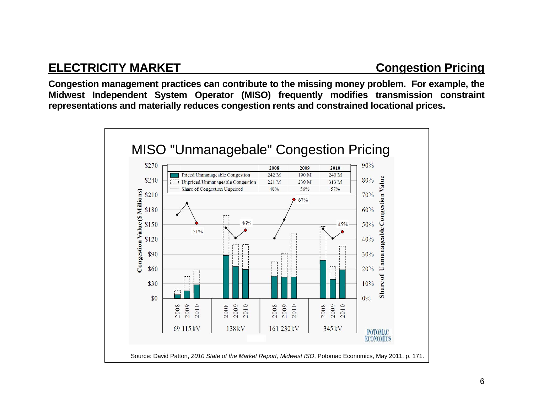# **ELECTRICITY MARKET CONGESTION CONGESTION PRICING**

**Congestion management practices can contribute to the missing money problem. For example, the Midwest Independent System Operator (MISO) frequently modifies transmission constraint representations and materially reduces congestion rents and constrained locational prices.** 

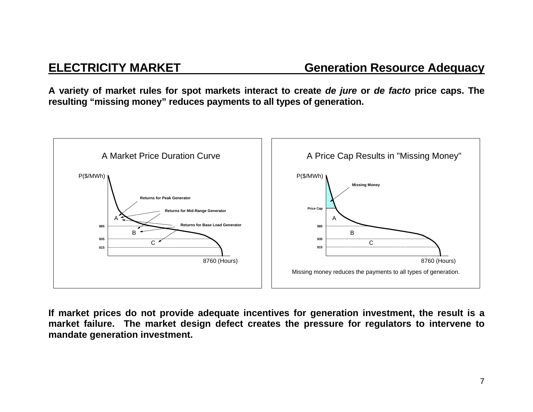**A variety of market rules for spot markets interact to create** *de jure* **or** *de facto* **price caps. The resulting "missing money" reduces payments to all types of generation.** 



**If market prices do not provide adequate incentives for generation investment, the result is a market failure. The market design defect creates the pressure for regulators to intervene to mandate generation investment.**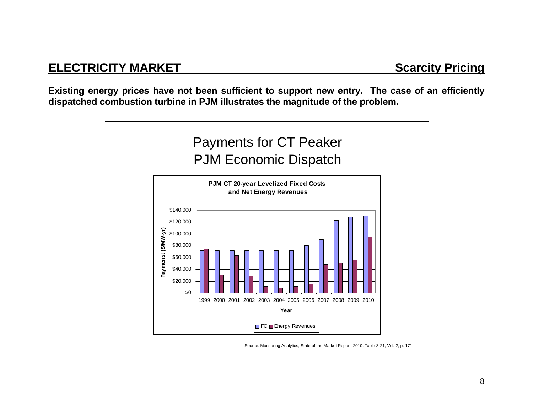**Existing energy prices have not been sufficient to support new entry. The case of an efficiently dispatched combustion turbine in PJM illustrates the magnitude of the problem.** 

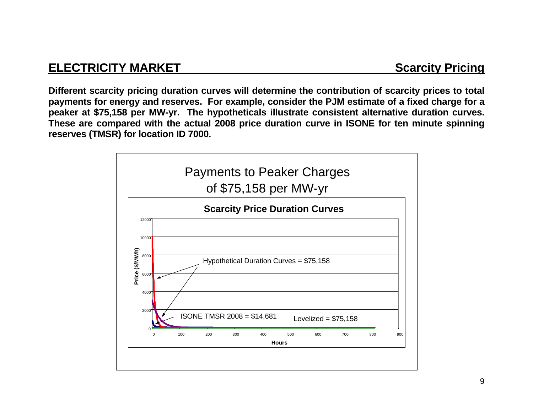# **ELECTRICITY MARKET SCARGISTIC SCARGISTIC PRICING**

**Different scarcity pricing duration curves will determine the contribution of scarcity prices to total payments for energy and reserves. For example, consider the PJM estimate of a fixed charge for a peaker at \$75,158 per MW-yr. The hypotheticals illustrate consistent alternative duration curves. These are compared with the actual 2008 price duration curve in ISONE for ten minute spinning reserves (TMSR) for location ID 7000.** 

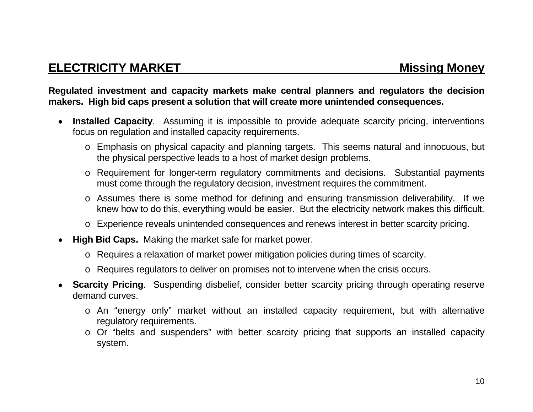### **Regulated investment and capacity markets make central planners and regulators the decision makers. High bid caps present a solution that will create more unintended consequences.**

- **Installed Capacity**. Assuming it is impossible to provide adequate scarcity pricing, interventions focus on regulation and installed capacity requirements.
	- <sup>o</sup> Emphasis on physical capacity and planning targets. This seems natural and innocuous, but the physical perspective leads to a host of market design problems.
	- <sup>o</sup> Requirement for longer-term regulatory commitments and decisions. Substantial payments must come through the regulatory decision, investment requires the commitment.
	- <sup>o</sup> Assumes there is some method for defining and ensuring transmission deliverability. If we knew how to do this, everything would be easier. But the electricity network makes this difficult.
	- <sup>o</sup> Experience reveals unintended consequences and renews interest in better scarcity pricing.
- **High Bid Caps.** Making the market safe for market power.
	- <sup>o</sup> Requires a relaxation of market power mitigation policies during times of scarcity.
	- <sup>o</sup> Requires regulators to deliver on promises not to intervene when the crisis occurs.
- **Scarcity Pricing**. Suspending disbelief, consider better scarcity pricing through operating reserve demand curves.
	- <sup>o</sup> An "energy only" market without an installed capacity requirement, but with alternative regulatory requirements.
	- <sup>o</sup> Or "belts and suspenders" with better scarcity pricing that supports an installed capacity system.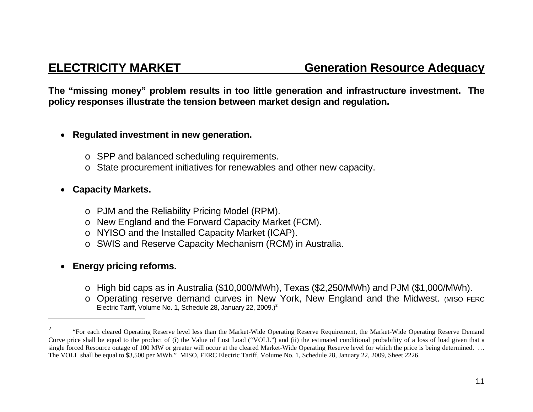**The "missing money" problem results in too little generation and infrastructure investment. The policy responses illustrate the tension between market design and regulation.** 

### $\bullet$ **Regulated investment in new generation.**

- <sup>o</sup> SPP and balanced scheduling requirements.
- <sup>o</sup> State procurement initiatives for renewables and other new capacity.

### ● **Capacity Markets.**

- <sup>o</sup> PJM and the Reliability Pricing Model (RPM).
- <sup>o</sup> New England and the Forward Capacity Market (FCM).
- <sup>o</sup> NYISO and the Installed Capacity Market (ICAP).
- <sup>o</sup> SWIS and Reserve Capacity Mechanism (RCM) in Australia.

### **Energy pricing reforms.**

- <sup>o</sup> High bid caps as in Australia (\$10,000/MWh), Texas (\$2,250/MWh) and PJM (\$1,000/MWh).
- <sup>o</sup> Operating reserve demand curves in New York, New England and the Midwest. (MISO FERC Electric Tariff, Volume No. 1, Schedule 28, January 22, 2009.)**<sup>2</sup>**

<sup>2 &</sup>quot;For each cleared Operating Reserve level less than the Market-Wide Operating Reserve Requirement, the Market-Wide Operating Reserve Demand Curve price shall be equal to the product of (i) the Value of Lost Load ("VOLL") and (ii) the estimated conditional probability of a loss of load given that a single forced Resource outage of 100 MW or greater will occur at the cleared Market-Wide Operating Reserve level for which the price is being determined. ... The VOLL shall be equal to \$3,500 per MWh." MISO, FERC Electric Tariff, Volume No. 1, Schedule 28, January 22, 2009, Sheet 2226.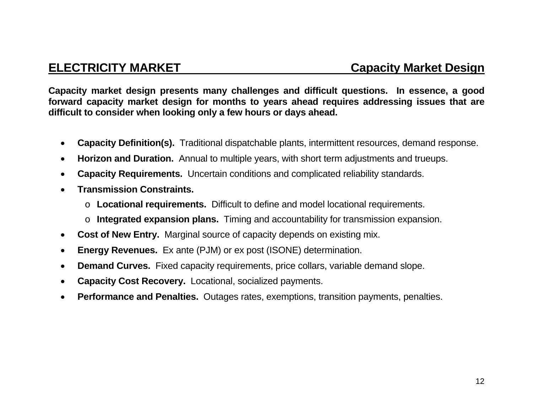**Capacity market design presents many challenges and difficult questions. In essence, a good forward capacity market design for months to years ahead requires addressing issues that are difficult to consider when looking only a few hours or days ahead.** 

- $\bullet$ **Capacity Definition(s).** Traditional dispatchable plants, intermittent resources, demand response.
- $\bullet$ **Horizon and Duration.** Annual to multiple years, with short term adjustments and trueups.
- $\bullet$ **Capacity Requirements.** Uncertain conditions and complicated reliability standards.
- $\bullet$  **Transmission Constraints.** 
	- o **Locational requirements.** Difficult to define and model locational requirements.
	- o **Integrated expansion plans.** Timing and accountability for transmission expansion.
- $\bullet$ **Cost of New Entry.** Marginal source of capacity depends on existing mix.
- $\bullet$ **Energy Revenues.** Ex ante (PJM) or ex post (ISONE) determination.
- $\bullet$ **Demand Curves.** Fixed capacity requirements, price collars, variable demand slope.
- $\bullet$ **Capacity Cost Recovery.** Locational, socialized payments.
- $\bullet$ **Performance and Penalties.** Outages rates, exemptions, transition payments, penalties.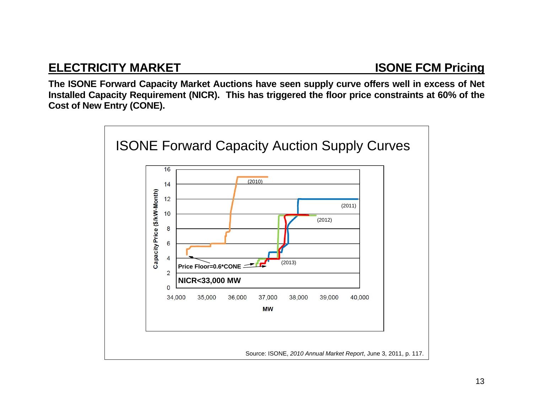# **ELECTRICITY MARKET ISONE FCM Pricing**

**The ISONE Forward Capacity Market Auctions have seen supply curve offers well in excess of Net Installed Capacity Requirement (NICR). This has triggered the floor price constraints at 60% of the Cost of New Entry (CONE).** 

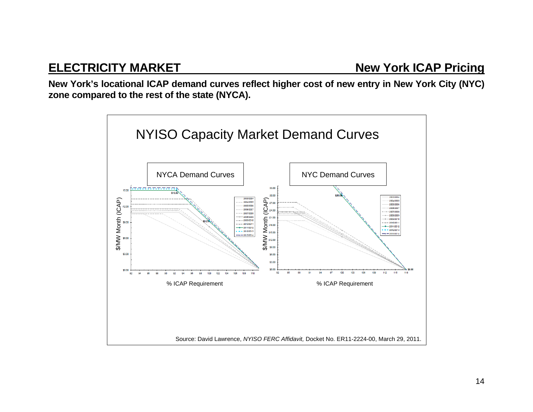# **ELECTRICITY MARKET New York ICAP Pricing**

**New York's locational ICAP demand curves reflect higher cost of new entry in New York City (NYC) zone compared to the rest of the state (NYCA).** 

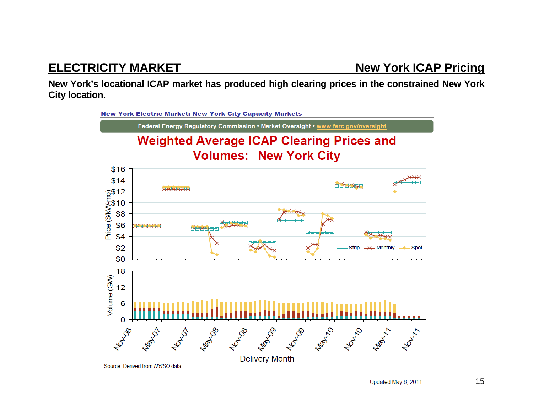# **ELECTRICITY MARKET New York ICAP Pricing**

 $\sim$ وبالمسا

**New York's locational ICAP market has produced high clearing prices in the constrained New York City location.** 

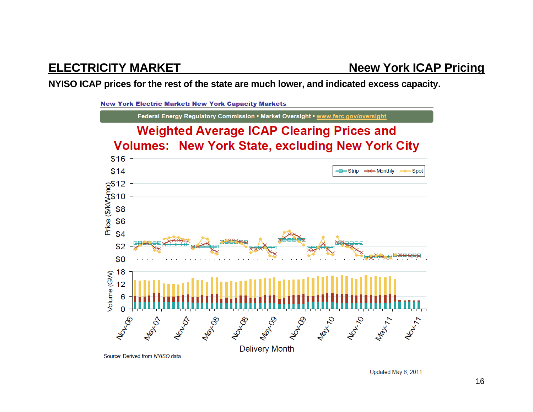**NYISO ICAP prices for the rest of the state are much lower, and indicated excess capacity.** 



Source: Derived from NYISO data.

Updated May 6, 2011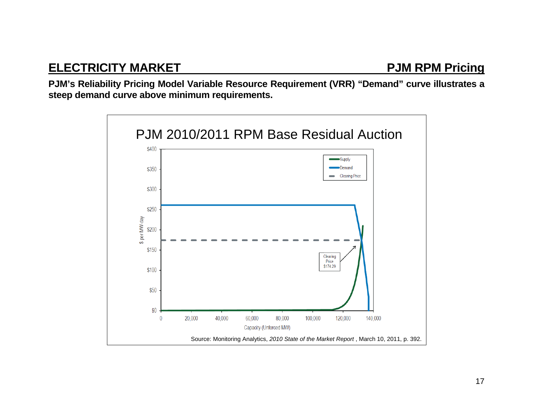**PJM's Reliability Pricing Model Variable Resource Requirement (VRR) "Demand" curve illustrates a steep demand curve above minimum requirements.** 

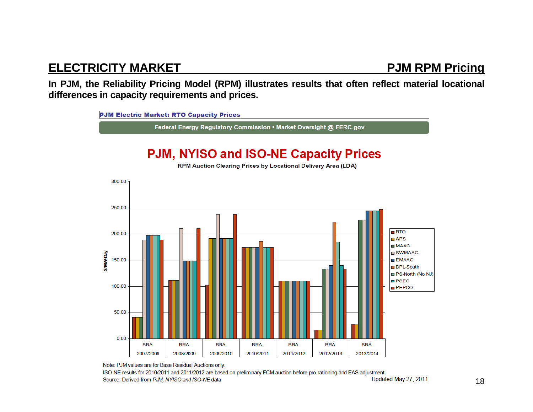# **ELECTRICITY MARKET PJM RPM Pricing**

**In PJM, the Reliability Pricing Model (RPM) illustrates results that often reflect material locational differences in capacity requirements and prices.** 



Note: PJM values are for Base Residual Auctions only.

ISO-NE results for 2010/2011 and 2011/2012 are based on preliminary FCM auction before pro-rationing and EAS adjustment. Updated May 27, 2011 Source: Derived from PJM, NYISO and ISO-NE data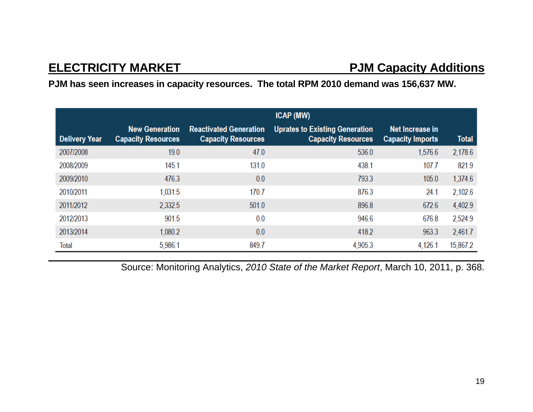# **ELECTRICITY MARKET PJM Capacity Additions**

## **PJM has seen increases in capacity resources. The total RPM 2010 demand was 156,637 MW.**

|                      | <b>ICAP (MW)</b>                                   |                                                            |                                                                    |                                            |              |
|----------------------|----------------------------------------------------|------------------------------------------------------------|--------------------------------------------------------------------|--------------------------------------------|--------------|
| <b>Delivery Year</b> | <b>New Generation</b><br><b>Capacity Resources</b> | <b>Reactivated Generation</b><br><b>Capacity Resources</b> | <b>Uprates to Existing Generation</b><br><b>Capacity Resources</b> | Net Increase in<br><b>Capacity Imports</b> | <b>Total</b> |
| 2007/2008            | 19.0                                               | 47.0                                                       | 536.0                                                              | 1,576.6                                    | 2,178.6      |
| 2008/2009            | 145.1                                              | 131.0                                                      | 438.1                                                              | 107.7                                      | 821.9        |
| 2009/2010            | 476.3                                              | 0.0                                                        | 793.3                                                              | 105.0                                      | 1,374.6      |
| 2010/2011            | 1.031.5                                            | 170.7                                                      | 876.3                                                              | 24.1                                       | 2,102.6      |
| 2011/2012            | 2,332.5                                            | 501.0                                                      | 896.8                                                              | 672.6                                      | 4,402.9      |
| 2012/2013            | 901.5                                              | 0.0                                                        | 946.6                                                              | 676.8                                      | 2,524.9      |
| 2013/2014            | 1,080.2                                            | 0.0                                                        | 418.2                                                              | 963.3                                      | 2,461.7      |
| <b>Total</b>         | 5,986.1                                            | 849.7                                                      | 4,905.3                                                            | 4,126.1                                    | 15,867.2     |

Source: Monitoring Analytics, *2010 State of the Market Report*, March 10, 2011, p. 368.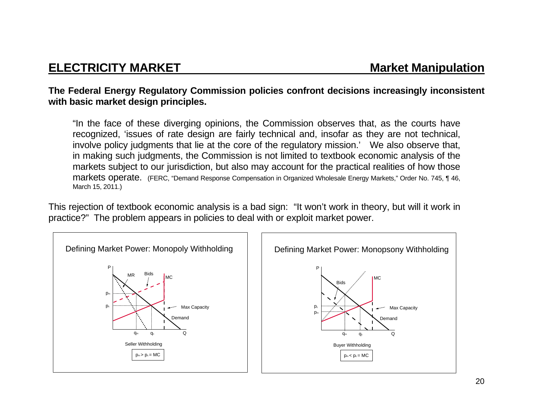### **The Federal Energy Regulatory Commission policies confront decisions increasingly inconsistent with basic market design principles.**

"In the face of these diverging opinions, the Commission observes that, as the courts have recognized, 'issues of rate design are fairly technical and, insofar as they are not technical, involve policy judgments that lie at the core of the regulatory mission.' We also observe that, in making such judgments, the Commission is not limited to textbook economic analysis of the markets subject to our jurisdiction, but also may account for the practical realities of how those markets operate. (FERC, "Demand Response Compensation in Organized Wholesale Energy Markets," Order No. 745, ¶ 46, March 15, 2011.)

This rejection of textbook economic analysis is a bad sign: "It won't work in theory, but will it work in practice?" The problem appears in policies to deal with or exploit market power.

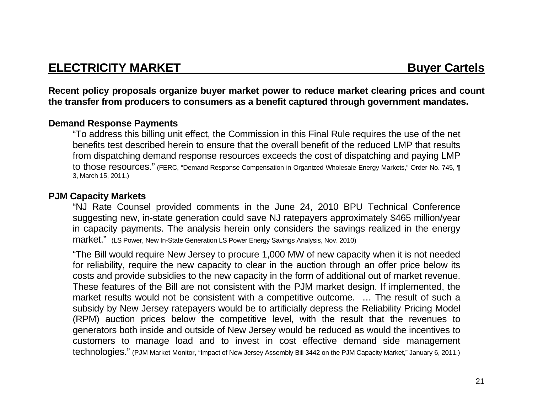# **ELECTRICITY MARKET** Buyer Cartels

**Recent policy proposals organize buyer market power to reduce market clearing prices and count the transfer from producers to consumers as a benefit captured through government mandates.** 

### **Demand Response Payments**

"To address this billing unit effect, the Commission in this Final Rule requires the use of the net benefits test described herein to ensure that the overall benefit of the reduced LMP that results from dispatching demand response resources exceeds the cost of dispatching and paying LMP to those resources." (FERC, "Demand Response Compensation in Organized Wholesale Energy Markets," Order No. 745, ¶ 3, March 15, 2011.)

### **PJM Capacity Markets**

"NJ Rate Counsel provided comments in the June 24, 2010 BPU Technical Conference suggesting new, in-state generation could save NJ ratepayers approximately \$465 million/year in capacity payments. The analysis herein only considers the savings realized in the energy market." (LS Power, New In-State Generation LS Power Energy Savings Analysis, Nov. 2010)

"The Bill would require New Jersey to procure 1,000 MW of new capacity when it is not needed for reliability, require the new capacity to clear in the auction through an offer price below its costs and provide subsidies to the new capacity in the form of additional out of market revenue. These features of the Bill are not consistent with the PJM market design. If implemented, the market results would not be consistent with a competitive outcome. … The result of such a subsidy by New Jersey ratepayers would be to artificially depress the Reliability Pricing Model (RPM) auction prices below the competitive level, with the result that the revenues to generators both inside and outside of New Jersey would be reduced as would the incentives to customers to manage load and to invest in cost effective demand side management technologies." (PJM Market Monitor, "Impact of New Jersey Assembly Bill 3442 on the PJM Capacity Market," January 6, 2011.)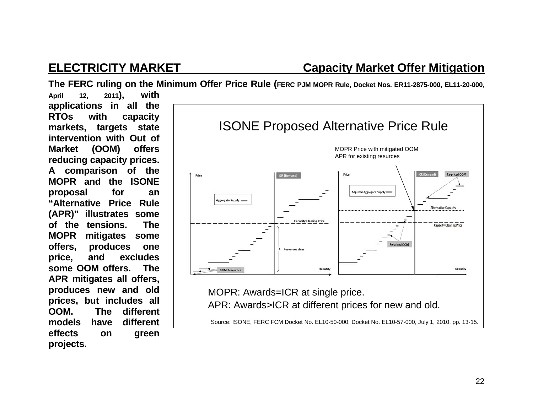# **ELECTRICITY MARKET Capacity Market Offer Mitigation**

**The FERC ruling on the Minimum Offer Price Rule (FERC PJM MOPR Rule, Docket Nos. ER11-2875-000, EL11-20-000,** 

**April 12, 2011), with applications in all the RTOs with capacity markets, targets state intervention with Out of Market (OOM) offers reducing capacity prices. A comparison of the MOPR and the ISONE proposal for an "Alternative Price Rule (APR)" illustrates some of the tensions. The MOPR mitigates some offers, produces one price, and excludes some OOM offers. The APR mitigates all offers, produces new and old prices, but includes all OOM. The different models have different effects on green projects.** 



MOPR: Awards=ICR at single price. APR: Awards>ICR at different prices for new and old.

Source: ISONE, FERC FCM Docket No. EL10-50-000, Docket No. EL10-57-000, July 1, 2010, pp. 13-15.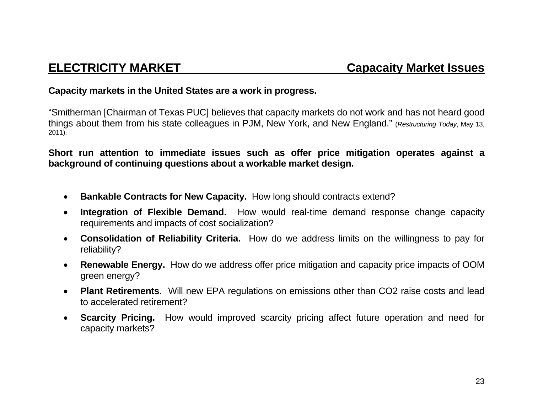### **Capacity markets in the United States are a work in progress.**

"Smitherman [Chairman of Texas PUC] believes that capacity markets do not work and has not heard good things about them from his state colleagues in PJM, New York, and New England." (*Restructuring Today*, May 13, 2011).

**Short run attention to immediate issues such as offer price mitigation operates against a background of continuing questions about a workable market design.** 

- **Bankable Contracts for New Capacity.** How long should contracts extend?
- $\bullet$  **Integration of Flexible Demand.** How would real-time demand response change capacity requirements and impacts of cost socialization?
- **Consolidation of Reliability Criteria.** How do we address limits on the willingness to pay for reliability?
- 0 **Renewable Energy.** How do we address offer price mitigation and capacity price impacts of OOM green energy?
- **Plant Retirements.** Will new EPA regulations on emissions other than CO2 raise costs and lead to accelerated retirement?
- **Scarcity Pricing.** How would improved scarcity pricing affect future operation and need for capacity markets?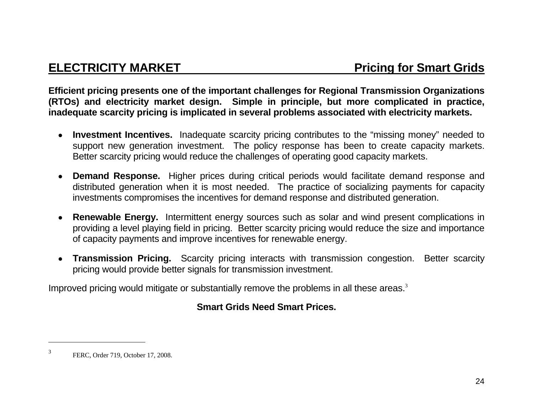**Efficient pricing presents one of the important challenges for Regional Transmission Organizations (RTOs) and electricity market design. Simple in principle, but more complicated in practice, inadequate scarcity pricing is implicated in several problems associated with electricity markets.** 

- **Investment Incentives.** Inadequate scarcity pricing contributes to the "missing money" needed to support new generation investment. The policy response has been to create capacity markets. Better scarcity pricing would reduce the challenges of operating good capacity markets.
- **Demand Response.** Higher prices during critical periods would facilitate demand response and distributed generation when it is most needed. The practice of socializing payments for capacity investments compromises the incentives for demand response and distributed generation.
- **Renewable Energy.** Intermittent energy sources such as solar and wind present complications in providing a level playing field in pricing. Better scarcity pricing would reduce the size and importance of capacity payments and improve incentives for renewable energy.
- **Transmission Pricing.** Scarcity pricing interacts with transmission congestion. Better scarcity pricing would provide better signals for transmission investment.

Improved pricing would mitigate or substantially remove the problems in all these areas.<sup>3</sup>

## **Smart Grids Need Smart Prices.**

<sup>3</sup> FERC, Order 719, October 17, 2008.